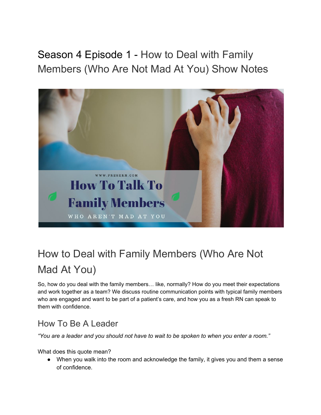Season 4 Episode 1 - How to Deal with Family Members (Who Are Not Mad At You) Show Notes



# How to Deal with Family Members (Who Are Not Mad At You)

So, how do you deal with the family members… like, normally? How do you meet their expectations and work together as a team? We discuss routine communication points with typical family members who are engaged and want to be part of a patient's care, and how you as a fresh RN can speak to them with confidence.

### How To Be A Leader

*"You are a leader and you should not have to wait to be spoken to when you enter a room."* 

What does this quote mean?

● When you walk into the room and acknowledge the family, it gives you and them a sense of confidence.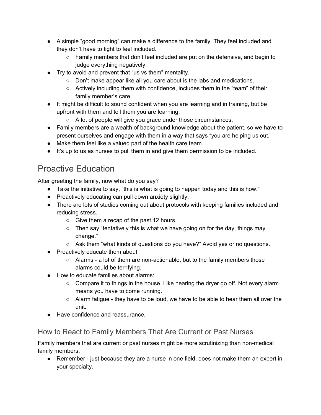- A simple "good morning" can make a difference to the family. They feel included and they don't have to fight to feel included.
	- Family members that don't feel included are put on the defensive, and begin to judge everything negatively.
- Try to avoid and prevent that "us vs them" mentality.
	- Don't make appear like all you care about is the labs and medications.
	- $\circ$  Actively including them with confidence, includes them in the "team" of their family member's care.
- It might be difficult to sound confident when you are learning and in training, but be upfront with them and tell them you are learning.
	- A lot of people will give you grace under those circumstances.
- Family members are a wealth of background knowledge about the patient, so we have to present ourselves and engage with them in a way that says "you are helping us out."
- Make them feel like a valued part of the health care team.
- It's up to us as nurses to pull them in and give them permission to be included.

## Proactive Education

After greeting the family, now what do you say?

- Take the initiative to say, "this is what is going to happen today and this is how."
- Proactively educating can pull down anxiety slightly.
- There are lots of studies coming out about protocols with keeping families included and reducing stress.
	- Give them a recap of the past 12 hours
	- $\circ$  Then say "tentatively this is what we have going on for the day, things may change."
	- Ask them "what kinds of questions do you have?" Avoid yes or no questions.
- Proactively educate them about:
	- $\circ$  Alarms a lot of them are non-actionable, but to the family members those alarms could be terrifying.
- How to educate families about alarms:
	- $\circ$  Compare it to things in the house. Like hearing the dryer go off. Not every alarm means you have to come running.
	- $\circ$  Alarm fatigue they have to be loud, we have to be able to hear them all over the unit.
- Have confidence and reassurance.

#### How to React to Family Members That Are Current or Past Nurses

Family members that are current or past nurses might be more scrutinizing than non-medical family members.

● Remember - just because they are a nurse in one field, does not make them an expert in your specialty.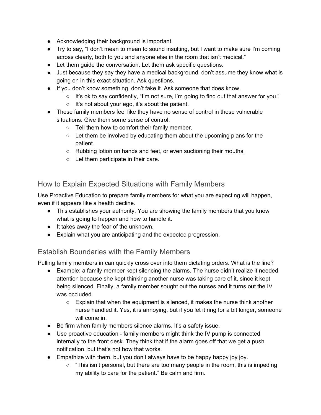- Acknowledging their background is important.
- Try to say, "I don't mean to mean to sound insulting, but I want to make sure I'm coming across clearly, both to you and anyone else in the room that isn't medical."
- Let them guide the conversation. Let them ask specific questions.
- Just because they say they have a medical background, don't assume they know what is going on in this exact situation. Ask questions.
- If you don't know something, don't fake it. Ask someone that does know.
	- $\circ$  It's ok to say confidently, "I'm not sure, I'm going to find out that answer for you."
	- It's not about your ego, it's about the patient.
- These family members feel like they have no sense of control in these vulnerable situations. Give them some sense of control.
	- Tell them how to comfort their family member.
	- Let them be involved by educating them about the upcoming plans for the patient.
	- Rubbing lotion on hands and feet, or even suctioning their mouths.
	- Let them participate in their care.

#### How to Explain Expected Situations with Family Members

Use Proactive Education to prepare family members for what you are expecting will happen, even if it appears like a health decline.

- This establishes your authority. You are showing the family members that you know what is going to happen and how to handle it.
- It takes away the fear of the unknown.
- Explain what you are anticipating and the expected progression.

#### Establish Boundaries with the Family Members

Pulling family members in can quickly cross over into them dictating orders. What is the line?

- Example: a family member kept silencing the alarms. The nurse didn't realize it needed attention because she kept thinking another nurse was taking care of it, since it kept being silenced. Finally, a family member sought out the nurses and it turns out the IV was occluded.
	- Explain that when the equipment is silenced, it makes the nurse think another nurse handled it. Yes, it is annoying, but if you let it ring for a bit longer, someone will come in.
- Be firm when family members silence alarms. It's a safety issue.
- Use proactive education family members might think the IV pump is connected internally to the front desk. They think that if the alarm goes off that we get a push notification, but that's not how that works.
- Empathize with them, but you don't always have to be happy happy joy joy.
	- "This isn't personal, but there are too many people in the room, this is impeding my ability to care for the patient." Be calm and firm.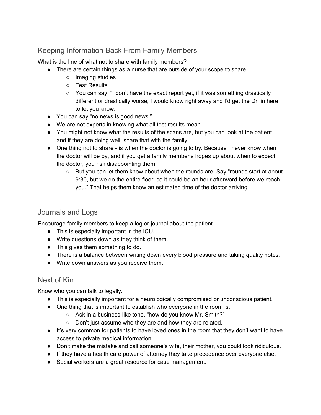#### Keeping Information Back From Family Members

What is the line of what not to share with family members?

- There are certain things as a nurse that are outside of your scope to share
	- Imaging studies
	- Test Results
	- You can say, "I don't have the exact report yet, if it was something drastically different or drastically worse, I would know right away and I'd get the Dr. in here to let you know."
- You can say "no news is good news."
- We are not experts in knowing what all test results mean.
- You might not know what the results of the scans are, but you can look at the patient and if they are doing well, share that with the family.
- One thing not to share is when the doctor is going to by. Because I never know when the doctor will be by, and if you get a family member's hopes up about when to expect the doctor, you risk disappointing them.
	- But you can let them know about when the rounds are. Say "rounds start at about 9:30, but we do the entire floor, so it could be an hour afterward before we reach you." That helps them know an estimated time of the doctor arriving.

#### Journals and Logs

Encourage family members to keep a log or journal about the patient.

- This is especially important in the ICU.
- Write questions down as they think of them.
- This gives them something to do.
- There is a balance between writing down every blood pressure and taking quality notes.
- Write down answers as you receive them.

#### Next of Kin

Know who you can talk to legally.

- This is especially important for a neurologically compromised or unconscious patient.
- One thing that is important to establish who everyone in the room is.
	- Ask in a business-like tone, "how do you know Mr. Smith?"
	- Don't just assume who they are and how they are related.
- It's very common for patients to have loved ones in the room that they don't want to have access to private medical information.
- Don't make the mistake and call someone's wife, their mother, you could look ridiculous.
- If they have a health care power of attorney they take precedence over everyone else.
- Social workers are a great resource for case management.